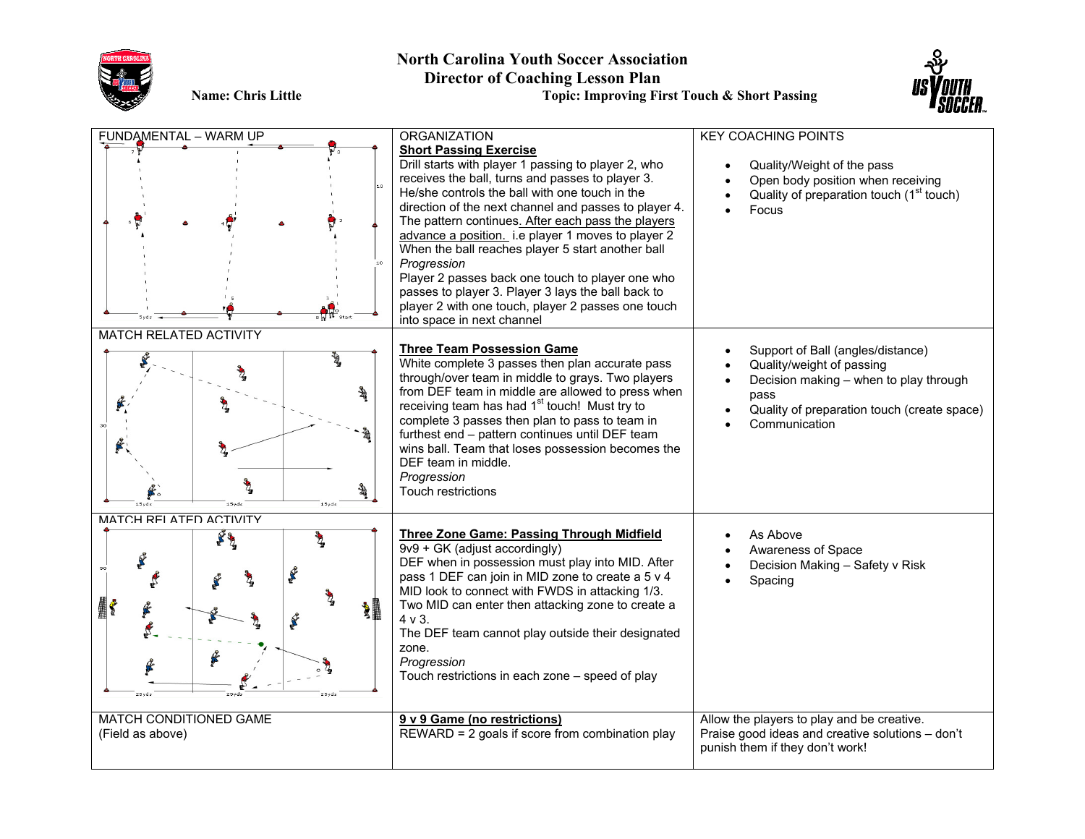

## **North Carolina Youth Soccer Association Director of Coaching Lesson Plan**

**Name: Chris Little Topic: Improving First Touch & Short Passing**



| FUNDAMENTAL - WARM UP                                            | <b>ORGANIZATION</b>                                                                                                                                                                                                                                                                                                                                                                                                                                                                                                                                                                                                               | <b>KEY COACHING POINTS</b>                                                                                                                                                       |
|------------------------------------------------------------------|-----------------------------------------------------------------------------------------------------------------------------------------------------------------------------------------------------------------------------------------------------------------------------------------------------------------------------------------------------------------------------------------------------------------------------------------------------------------------------------------------------------------------------------------------------------------------------------------------------------------------------------|----------------------------------------------------------------------------------------------------------------------------------------------------------------------------------|
|                                                                  | <b>Short Passing Exercise</b><br>Drill starts with player 1 passing to player 2, who<br>receives the ball, turns and passes to player 3.<br>He/she controls the ball with one touch in the<br>direction of the next channel and passes to player 4.<br>The pattern continues. After each pass the players<br>advance a position. i.e player 1 moves to player 2<br>When the ball reaches player 5 start another ball<br>Progression<br>Player 2 passes back one touch to player one who<br>passes to player 3. Player 3 lays the ball back to<br>player 2 with one touch, player 2 passes one touch<br>into space in next channel | Quality/Weight of the pass<br>Open body position when receiving<br>Quality of preparation touch (1 <sup>st</sup> touch)<br>Focus                                                 |
| MATCH RELATED ACTIVITY<br>ł<br>嘦<br>魯<br>嘦                       | <b>Three Team Possession Game</b><br>White complete 3 passes then plan accurate pass<br>through/over team in middle to grays. Two players<br>from DEF team in middle are allowed to press when<br>receiving team has had 1 <sup>st</sup> touch! Must try to<br>complete 3 passes then plan to pass to team in<br>furthest end - pattern continues until DEF team<br>wins ball. Team that loses possession becomes the<br>DEF team in middle.<br>Progression<br>Touch restrictions                                                                                                                                                 | Support of Ball (angles/distance)<br>Quality/weight of passing<br>Decision making - when to play through<br>pass<br>Quality of preparation touch (create space)<br>Communication |
| MATCH RFI ATFD ACTIVITY<br>$\mathbf{F}_4$<br>K<br><b>XI</b><br>f | <b>Three Zone Game: Passing Through Midfield</b><br>9v9 + GK (adjust accordingly)<br>DEF when in possession must play into MID. After<br>pass 1 DEF can join in MID zone to create a 5 v 4<br>MID look to connect with FWDS in attacking 1/3.<br>Two MID can enter then attacking zone to create a<br>4 v 3.<br>The DEF team cannot play outside their designated<br>zone.<br>Progression<br>Touch restrictions in each zone - speed of play                                                                                                                                                                                      | As Above<br>Awareness of Space<br>Decision Making - Safety v Risk<br>Spacing                                                                                                     |
| MATCH CONDITIONED GAME<br>(Field as above)                       | 9 v 9 Game (no restrictions)<br>REWARD = 2 goals if score from combination play                                                                                                                                                                                                                                                                                                                                                                                                                                                                                                                                                   | Allow the players to play and be creative.<br>Praise good ideas and creative solutions - don't<br>punish them if they don't work!                                                |